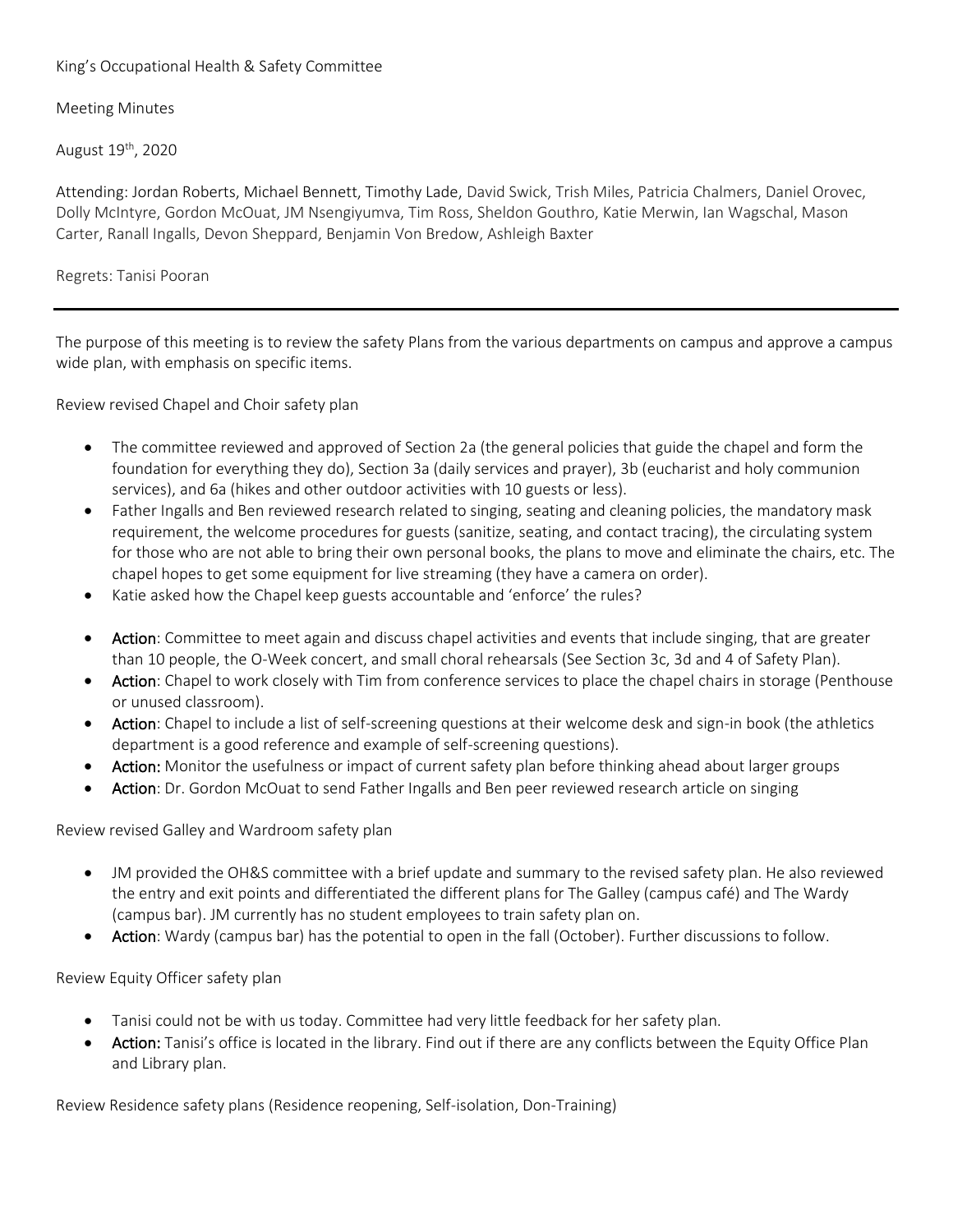## King's Occupational Health & Safety Committee

## Meeting Minutes

August 19th, 2020

Attending: Jordan Roberts, Michael Bennett, Timothy Lade, David Swick, Trish Miles, Patricia Chalmers, Daniel Orovec, Dolly McIntyre, Gordon McOuat, JM Nsengiyumva, Tim Ross, Sheldon Gouthro, Katie Merwin, Ian Wagschal, Mason Carter, Ranall Ingalls, Devon Sheppard, Benjamin Von Bredow, Ashleigh Baxter

Regrets: Tanisi Pooran

The purpose of this meeting is to review the safety Plans from the various departments on campus and approve a campus wide plan, with emphasis on specific items.

Review revised Chapel and Choir safety plan

- The committee reviewed and approved of Section 2a (the general policies that guide the chapel and form the foundation for everything they do), Section 3a (daily services and prayer), 3b (eucharist and holy communion services), and 6a (hikes and other outdoor activities with 10 guests or less).
- Father Ingalls and Ben reviewed research related to singing, seating and cleaning policies, the mandatory mask requirement, the welcome procedures for guests (sanitize, seating, and contact tracing), the circulating system for those who are not able to bring their own personal books, the plans to move and eliminate the chairs, etc. The chapel hopes to get some equipment for live streaming (they have a camera on order).
- Katie asked how the Chapel keep guests accountable and 'enforce' the rules?
- Action: Committee to meet again and discuss chapel activities and events that include singing, that are greater than 10 people, the O-Week concert, and small choral rehearsals (See Section 3c, 3d and 4 of Safety Plan).
- Action: Chapel to work closely with Tim from conference services to place the chapel chairs in storage (Penthouse or unused classroom).
- Action: Chapel to include a list of self-screening questions at their welcome desk and sign-in book (the athletics department is a good reference and example of self-screening questions).
- Action: Monitor the usefulness or impact of current safety plan before thinking ahead about larger groups
- Action: Dr. Gordon McOuat to send Father Ingalls and Ben peer reviewed research article on singing

Review revised Galley and Wardroom safety plan

- JM provided the OH&S committee with a brief update and summary to the revised safety plan. He also reviewed the entry and exit points and differentiated the different plans for The Galley (campus café) and The Wardy (campus bar). JM currently has no student employees to train safety plan on.
- Action: Wardy (campus bar) has the potential to open in the fall (October). Further discussions to follow.

Review Equity Officer safety plan

- Tanisi could not be with us today. Committee had very little feedback for her safety plan.
- Action: Tanisi's office is located in the library. Find out if there are any conflicts between the Equity Office Plan and Library plan.

Review Residence safety plans (Residence reopening, Self-isolation, Don-Training)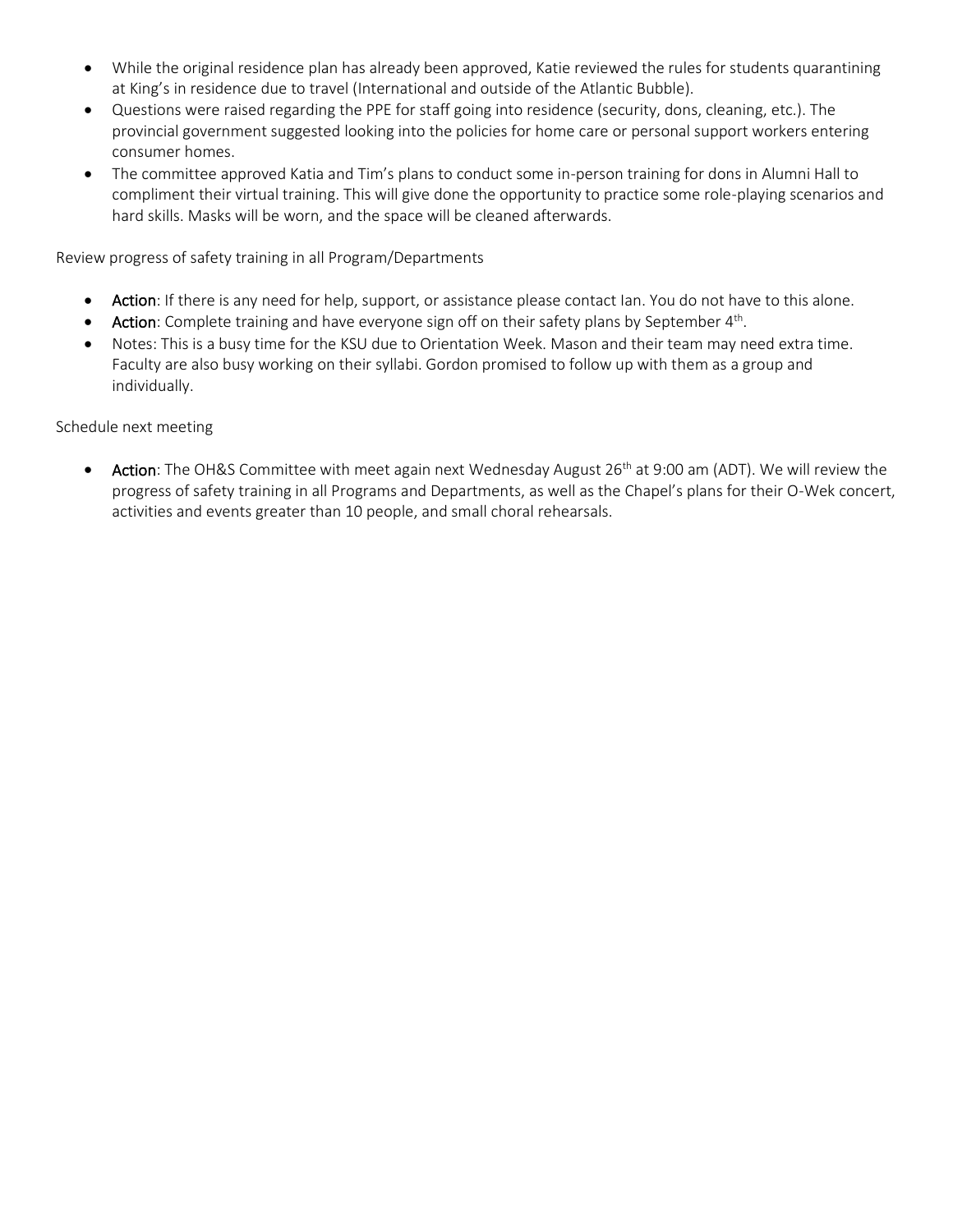- While the original residence plan has already been approved, Katie reviewed the rules for students quarantining at King's in residence due to travel (International and outside of the Atlantic Bubble).
- Questions were raised regarding the PPE for staff going into residence (security, dons, cleaning, etc.). The provincial government suggested looking into the policies for home care or personal support workers entering consumer homes.
- The committee approved Katia and Tim's plans to conduct some in-person training for dons in Alumni Hall to compliment their virtual training. This will give done the opportunity to practice some role-playing scenarios and hard skills. Masks will be worn, and the space will be cleaned afterwards.

Review progress of safety training in all Program/Departments

- Action: If there is any need for help, support, or assistance please contact Ian. You do not have to this alone.
- Action: Complete training and have everyone sign off on their safety plans by September 4<sup>th</sup>.
- Notes: This is a busy time for the KSU due to Orientation Week. Mason and their team may need extra time. Faculty are also busy working on their syllabi. Gordon promised to follow up with them as a group and individually.

Schedule next meeting

• Action: The OH&S Committee with meet again next Wednesday August 26<sup>th</sup> at 9:00 am (ADT). We will review the progress of safety training in all Programs and Departments, as well as the Chapel's plans for their O-Wek concert, activities and events greater than 10 people, and small choral rehearsals.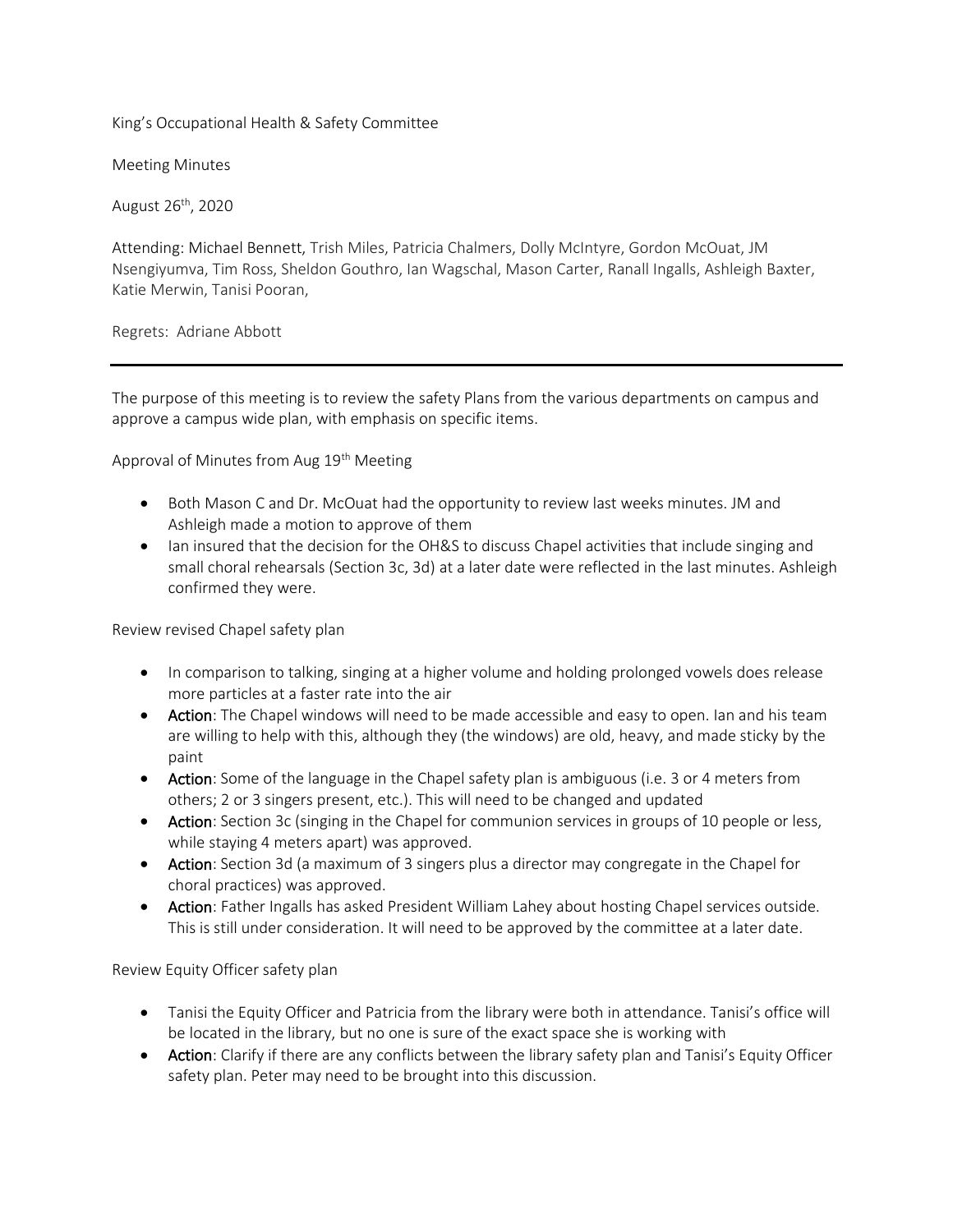King's Occupational Health & Safety Committee

Meeting Minutes

August 26<sup>th</sup>, 2020

Attending: Michael Bennett, Trish Miles, Patricia Chalmers, Dolly McIntyre, Gordon McOuat, JM Nsengiyumva, Tim Ross, Sheldon Gouthro, Ian Wagschal, Mason Carter, Ranall Ingalls, Ashleigh Baxter, Katie Merwin, Tanisi Pooran,

Regrets: Adriane Abbott

The purpose of this meeting is to review the safety Plans from the various departments on campus and approve a campus wide plan, with emphasis on specific items.

Approval of Minutes from Aug 19<sup>th</sup> Meeting

- Both Mason C and Dr. McOuat had the opportunity to review last weeks minutes. JM and Ashleigh made a motion to approve of them
- Ian insured that the decision for the OH&S to discuss Chapel activities that include singing and small choral rehearsals (Section 3c, 3d) at a later date were reflected in the last minutes. Ashleigh confirmed they were.

Review revised Chapel safety plan

- In comparison to talking, singing at a higher volume and holding prolonged vowels does release more particles at a faster rate into the air
- Action: The Chapel windows will need to be made accessible and easy to open. Ian and his team are willing to help with this, although they (the windows) are old, heavy, and made sticky by the paint
- Action: Some of the language in the Chapel safety plan is ambiguous (i.e. 3 or 4 meters from others; 2 or 3 singers present, etc.). This will need to be changed and updated
- Action: Section 3c (singing in the Chapel for communion services in groups of 10 people or less, while staying 4 meters apart) was approved.
- Action: Section 3d (a maximum of 3 singers plus a director may congregate in the Chapel for choral practices) was approved.
- Action: Father Ingalls has asked President William Lahey about hosting Chapel services outside. This is still under consideration. It will need to be approved by the committee at a later date.

Review Equity Officer safety plan

- Tanisi the Equity Officer and Patricia from the library were both in attendance. Tanisi's office will be located in the library, but no one is sure of the exact space she is working with
- Action: Clarify if there are any conflicts between the library safety plan and Tanisi's Equity Officer safety plan. Peter may need to be brought into this discussion.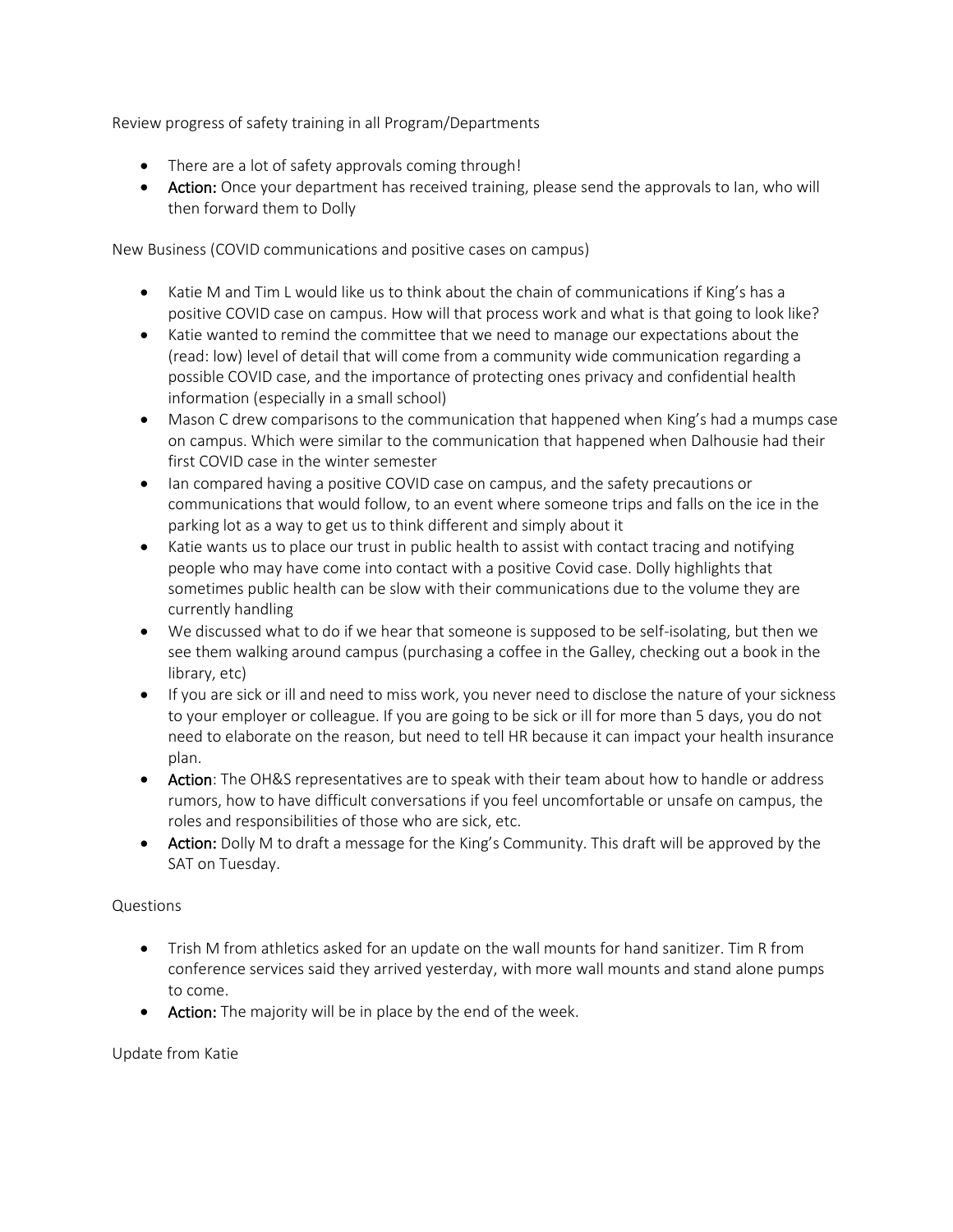Review progress of safety training in all Program/Departments

- There are a lot of safety approvals coming through!
- Action: Once your department has received training, please send the approvals to Ian, who will then forward them to Dolly

New Business (COVID communications and positive cases on campus)

- Katie M and Tim L would like us to think about the chain of communications if King's has a positive COVID case on campus. How will that process work and what is that going to look like?
- Katie wanted to remind the committee that we need to manage our expectations about the (read: low) level of detail that will come from a community wide communication regarding a possible COVID case, and the importance of protecting ones privacy and confidential health information (especially in a small school)
- Mason C drew comparisons to the communication that happened when King's had a mumps case on campus. Which were similar to the communication that happened when Dalhousie had their first COVID case in the winter semester
- Ian compared having a positive COVID case on campus, and the safety precautions or communications that would follow, to an event where someone trips and falls on the ice in the parking lot as a way to get us to think different and simply about it
- Katie wants us to place our trust in public health to assist with contact tracing and notifying people who may have come into contact with a positive Covid case. Dolly highlights that sometimes public health can be slow with their communications due to the volume they are currently handling
- We discussed what to do if we hear that someone is supposed to be self-isolating, but then we see them walking around campus (purchasing a coffee in the Galley, checking out a book in the library, etc)
- If you are sick or ill and need to miss work, you never need to disclose the nature of your sickness to your employer or colleague. If you are going to be sick or ill for more than 5 days, you do not need to elaborate on the reason, but need to tell HR because it can impact your health insurance plan.
- Action: The OH&S representatives are to speak with their team about how to handle or address rumors, how to have difficult conversations if you feel uncomfortable or unsafe on campus, the roles and responsibilities of those who are sick, etc.
- Action: Dolly M to draft a message for the King's Community. This draft will be approved by the SAT on Tuesday.

## Questions

- Trish M from athletics asked for an update on the wall mounts for hand sanitizer. Tim R from conference services said they arrived yesterday, with more wall mounts and stand alone pumps to come.
- Action: The majority will be in place by the end of the week.

## Update from Katie